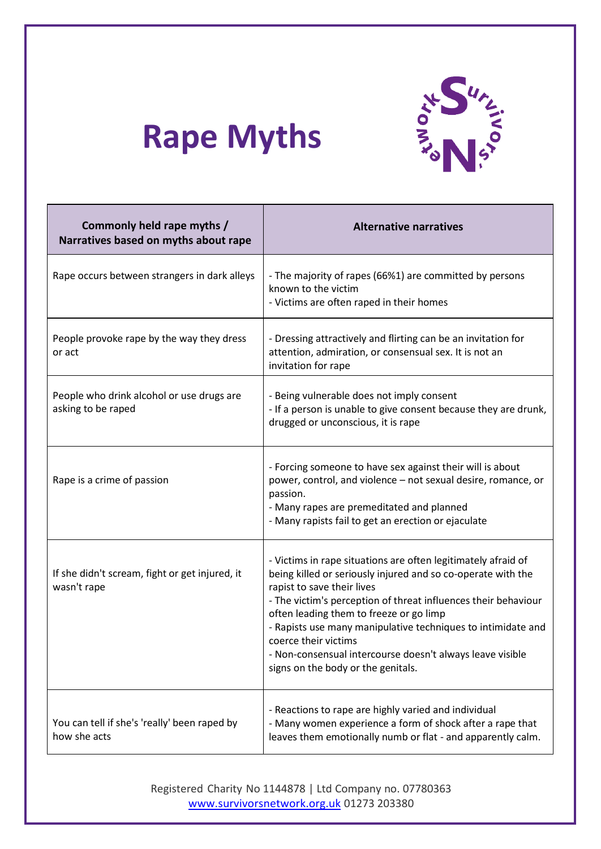

## **Rape Myths**

| Commonly held rape myths /<br>Narratives based on myths about rape | <b>Alternative narratives</b>                                                                                                                                                                                                                                                                                                                                                                                                                                       |
|--------------------------------------------------------------------|---------------------------------------------------------------------------------------------------------------------------------------------------------------------------------------------------------------------------------------------------------------------------------------------------------------------------------------------------------------------------------------------------------------------------------------------------------------------|
| Rape occurs between strangers in dark alleys                       | - The majority of rapes (66%1) are committed by persons<br>known to the victim<br>- Victims are often raped in their homes                                                                                                                                                                                                                                                                                                                                          |
| People provoke rape by the way they dress<br>or act                | - Dressing attractively and flirting can be an invitation for<br>attention, admiration, or consensual sex. It is not an<br>invitation for rape                                                                                                                                                                                                                                                                                                                      |
| People who drink alcohol or use drugs are<br>asking to be raped    | - Being vulnerable does not imply consent<br>- If a person is unable to give consent because they are drunk,<br>drugged or unconscious, it is rape                                                                                                                                                                                                                                                                                                                  |
| Rape is a crime of passion                                         | - Forcing someone to have sex against their will is about<br>power, control, and violence - not sexual desire, romance, or<br>passion.<br>- Many rapes are premeditated and planned<br>- Many rapists fail to get an erection or ejaculate                                                                                                                                                                                                                          |
| If she didn't scream, fight or get injured, it<br>wasn't rape      | - Victims in rape situations are often legitimately afraid of<br>being killed or seriously injured and so co-operate with the<br>rapist to save their lives<br>- The victim's perception of threat influences their behaviour<br>often leading them to freeze or go limp<br>- Rapists use many manipulative techniques to intimidate and<br>coerce their victims<br>- Non-consensual intercourse doesn't always leave visible<br>signs on the body or the genitals. |
| You can tell if she's 'really' been raped by<br>how she acts       | - Reactions to rape are highly varied and individual<br>- Many women experience a form of shock after a rape that<br>leaves them emotionally numb or flat - and apparently calm.                                                                                                                                                                                                                                                                                    |

Registered Charity No 1144878 | Ltd Company no. 07780363 [www.survivorsnetwork.org.uk](http://www.survivorsnetwork.org.uk/) 01273 203380